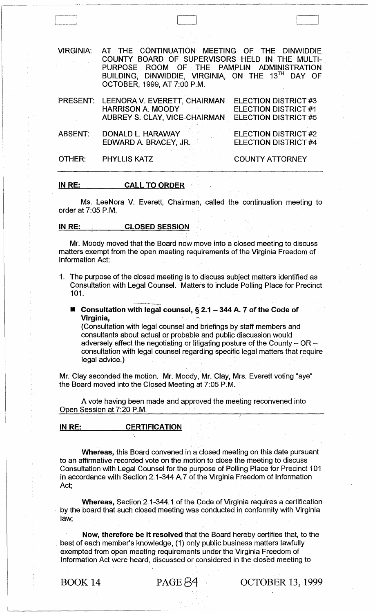VIRGINIA: AT THE CONTINUATION MEETING OF THE DINWIDDIE COUNTY BOARD OF SUPERVISORS HELD IN THE MULTI-PURPOSE ROOM OF THE PAMPLIN ADMINISTRATION BUILDING, DINWIDDIE, VIRGINIA, ON THE 13TH DAY OF OCTOBER, 1999, AT 7:00 P.M. PRESENT: LEENORA V. EVERETT, CHAIRMAN HARRISON A. MOODY AUBREY S, CLAY, VICE-CHAIRMAN ABSENT: DONALD L. HARAWAY EDWARD A. BRACEY, JR. OTHER: PHYLLIS KATZ ELECTION DISTRICT #3 ELECTION DISTRICT #1 ELECTION DISTRICT #5 ELECTION DISTRICT #2 ELECTION DISTRICT #4 COUNTY ATTORNEY

### IN RE: CALL TO ORDER

Ms. LeeNora V. Everett, Chairman, called the continuation meeting to order at 7:05 P.M.

IN RE: CLOSED SESSION

." .-.-~~.-- .... -~-.

Mr. Moody moved that the Board now move into a closed meeting to discuss matters exempt from the open meeting requirements of the Virginia Freedom of Information Act:

- 1. The purpose of the closed meeting is to discuss subject matters identified as Consultation with Legal Counsel. Matters to include Polling Place for Precinct 101.
	- $\blacksquare$  Consultation with legal counsel, § 2.1 344 A. 7 of the Code of Virginia,

(Consultation with legal counsel and briefings by staff members and consultants about actual or probable and public discussion would adversely affect the negotiating or litigating posture of the County  $-$  OR  $$ consultation with legal counsel regarding specific legal matters that require legal advice.)

Mr. Clay seconded the motion. Mr. Moody, Mr. Clay, Mrs. Everett voting "aye" the Board moved into the Closed Meeting at 7:05 P.M.

A vote having been made and approved the meeting reconvened into Open Session at 7:20 P.M.

# IN RE: CERTIFICATION

Whereas, this Board convened in a closed meeting on this date pursuant to an affirmative recorded vote on the motion to close the meeting to discuss Consultation with Legal Counsel for the purpose of Polling Place for Precinct 101 in accordance with Section 2.1-344 A. 7 of the Virginia Freedom of Information Act;

Whereas, Section 2.1-344.1 of the Code of Virginia requires a certification - by the board that such closed meeting was conducted in conformity with Virginia law;

Now, therefore be it resolved that the Board hereby certifies that, to the best of each member's knowledge, (1) only public business matters lawfully exempted from open meeting requirements under the Virginia Freedom of Information Act were heard, discussed or considered in the closed meeting to

BOOK 14 PAGE  $\beta$ 4 OCTOBER 13, 1999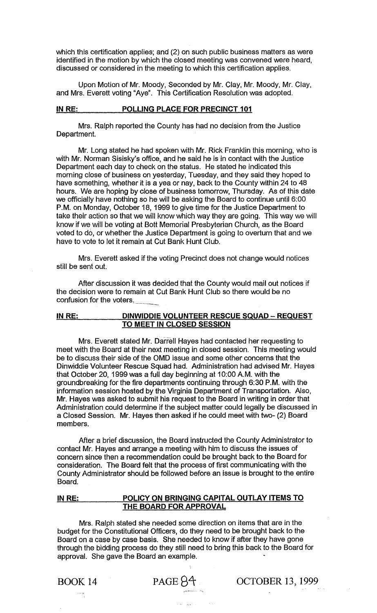which this certification applies; and (2) on such public business matters as were identified in the motion by which the closed meeting was convened were heard, discussed or considered in the meeting to which this certification applies.

Upon Motion of Mr. Moody, Seconded by Mr. Clay, Mr. Moody, Mr. Clay, and Mrs. Everett voting "Aye". This Certification Resolution was adopted.

#### **IN RE: POLLING PLACE FOR PRECINCT 101**

Mrs. Ralph reported the County has had no decision from the Justice Department.

Mr. Long stated he had spoken with Mr. Rick Franklin this morning, who is with Mr. Norman Sisisky's office, and he said he is in contact with the Justice Department each day to check on the status. He stated he indicated this morning close of business on yesterday, Tuesday, and they said they hoped to have something, whether it is a yea or nay, back to the County within 24 to 48 hours. We are hoping by close of business tomorrow, Thursday. As of this date we officially have nothing so he will be asking the Board to continue until 6:00 P.M. on Monday, October 18, 1999 to give time for the Justice Department to take their action so that we will know which way they are going. This way we will know if we will be voting at Bott Memorial Presbyterian Church, as the Board voted to do, or whether the Justice Department is going to overturn that and we have to vote to let it remain at Cut Bank Hunt Club.

Mrs. Everett asked if the voting Precinct does not change would notices still be sent out.

After discussion it was decided that the County would mail out notices if the decision were to remain at Cut Bank Hunt Club so there would be no confusion for the voters.

#### **IN RE: DINWIDDIE VOLUNTEER RESCUE SQUAD - REQUEST TO MEET IN CLOSED SESSION**

Mrs. Everett stated Mr. Darrell Hayes had contacted her requesting to meet with the Board at their next meeting in closed session. This meeting would be to discuss their side of the OMD issue and some other concerns that the Dinwiddie Volunteer Rescue Squad had. Administration had advised Mr. Hayes that October 20, 1999 was a full day beginning at 10:00 A.M. with the groundbreaking for the fire departments continuing through 6:30 P.M. with the information session hosted by the Virginia Department of Transportation. Also, Mr. Hayes was asked to submit his request to the Board in writing in order that Administration could determine if the subject matter could legally be discussed in a Closed Session. Mr. Hayes then asked if he could meet with two- (2) Board members.

After a brief discussion, the Board instructed the County Administrator to contact Mr. Hayes and arrange a meeting with him to discuss the issues of concern since then a recommendation could be brought back to the Board for consideration. The Board felt that the process of first communicating with the County Administrator should be followed before an issue is brought to the entire Board.

# **IN RE: POLICY ON BRINGING CAPITAL OUTLAY ITEMS TO THE BOARD FOR APPROVAL**

Mrs. Ralph stated she needed some direction on items that are in the budget for the Constitutional Officers, do they need to be brought back to the Board on a case by case basis. She needed to know if after they have gone through the bidding process do they still need to bring this back to the Board for approval. She gave the Board an example.

'-,

BOOK 14 PAGE 84 OCTOBER 13, 1999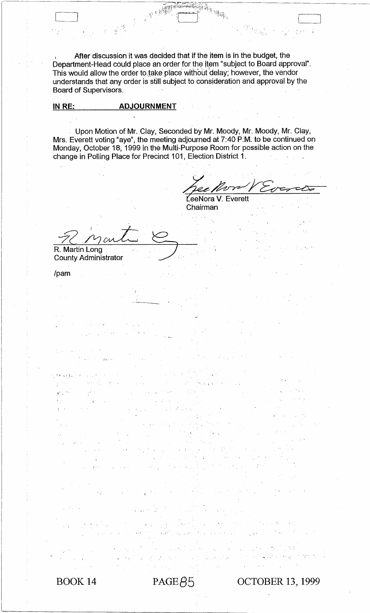After discussion it was decided that if the item is in the budget, the Department-Head could place an order for the item "subject to Board approval". This would allow the order to take place without delay; however, the vendor understands that any order is still subject to consideration and approval by the Board of Supervisors.

RAS HAR

## **IN RE: ADJOURNMENT**

Upon Motion of Mr. Clay, Seconded by Mr. Moody, Mr. Moody, Mr. Clay, Mrs. Everett voting "aye", the meeting adjourned at 7:40 P.M. to be continued on Monday, October 18, 1999 in the Multi-Purpose Room for possible action on the change in Polling Place for Precinct 101, Election District 1.

Lee More V Everett

J

Chairman

<sup>~</sup>\

, "

R. Martin Long

County Administrator

/pam

 $\Delta_{\rm B}$  ,  $\Delta_{\rm B}$  ,  $\bar{\epsilon}$ 

Cl

BOOK. 14

, .....

 $PAGE\beta5$  OCTOBER 13, 1999

'.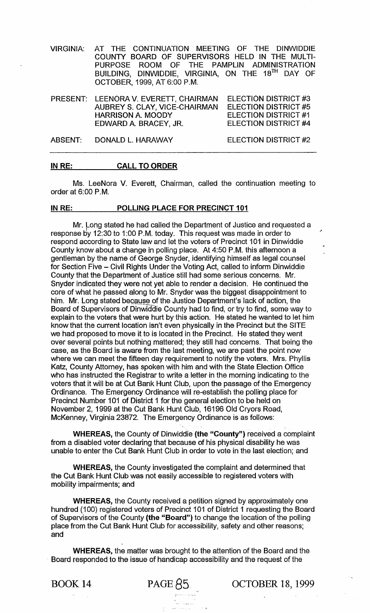VIRGINIA: AT THE CONTINUATION MEETING OF THE DINWIDDIE COUNTY BOARD OF SUPERVISORS HELD IN THE MULTI-PURPOSE ROOM OF THE PAMPLIN ADMINISTRATION BUILDING, DINWIDDIE, VIRGINIA, ON THE 18TH DAY OF OCTOBER, 1999, AT 6:00 P.M.

PRESENT: LEENORA V. EVERETT, CHAIRMAN AUBREY S. CLAY, VICE-CHAIRMAN HARRISON A. MOODY EDWARD A. BRACEY, JR. ELECTION DISTRICT #3 ELECTION DISTRICT #5 ELECTION DISTRICT #1 ELECTION DISTRICT #4

ABSENT: DONALD L. HARAWAY

ELECTION DISTRICT #2

## IN RE: CALL TO ORDER

Ms. LeeNora V. Everett, Chairman, called the continuation meeting to order at 6:00 P.M.

#### IN RE: POLLING PLACE FOR PRECINCT 101

Mr. Long stated he had called the Department of Justice and requested a response by 12:30 to 1:00 P.M. today. This request was made in order to respond according to State law and let the voters of Precinct 101 in Dinwiddie County know about a change in polling place. At 4:50 P.M. this afternoon a gentleman by the name of George Snyder, identifying himself as legal counsel for Section Five - Civil Rights Under the Voting Act, called to inform Dinwiddie County that the Department of Justice still had some serious concerns. Mr. Snyder indicated they were not yet able to render a decision. He continued the core of what he passed along to Mr. Snyder was the biggest disappointment to him. Mr. Long stated because of the Justice Department's lack of action, the Board of Supervisors of Dinwiddie County had to find, or try to find, some way to explain to the voters that were hurt by this action. He stated he wanted to let him know that the current location isn't even physically in the Precinct but the SITE we had proposed to move it to is located in the Precinct. He stated they went over several points but nothing mattered; they still had concerns. That being the case, as the Board is aware from the last meeting, we are past the point now where we can meet the fifteen day requirement to notify the voters. Mrs. Phyllis Katz, County Attorney, has spoken with him and with the State Election Office who has instructed the Registrar to write a letter in the morning indicating to the voters that it will be at Cut Bank Hunt Club, upon the passage of the Emergency Ordinance. The Emergency Ordinance will re-establish the polling place for Precinct Number 101 of District 1 for the general election to be held on November 2,1999 at the Cut Bank Hunt Club, 16196 Old Cryors Road, McKenney, Virginia 23872. The Emergency Ordinance is as follows:

WHEREAS, the County of Dinwiddie (the "County") received a complaint from a disabled voter declaring that because of his physical disability he was unable to enter the Cut Bank Hunt Club in order to vote in the last election; and

WHEREAS, the County investigated the complaint and determined that the Cut Bank Hunt Club was not easily accessible to registered voters with mobility impairments; and

WHEREAS, the County received a petition signed by approximately one hundred (100) registered voters of Precinct 101 of District 1 requesting the Board of Supervisors of the County (the "Board") to change the location of the polling place from the Cut Bank Hunt Club for accessibility, safety and other reasons; and

WHEREAS, the matter was brought to the attention of the Board and the Board responded to the issue of handicap accessibility and the request of the

BOOK 14 PAGE  $85$  OCTOBER 18, 1999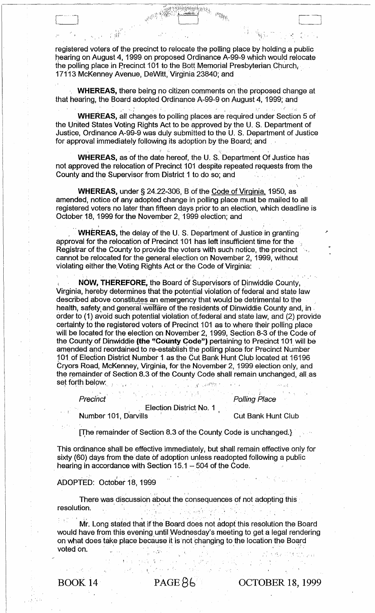registered voters of the precinct to relocate the polling place by holding a public hearing on August 4, 1999· on proposed Ordinance A-99-9 which would relocate the polling place in Precinct 101 to the Bott Memorial Presbyterian Church; 17113 McKenney Avenue, DeWitt, Virginia 23840; and

**Bangray** 

 $\mathbb{R}^{\mathbb{N}^{\mathbb{N}}_{\mathbb{N}^{\mathbb{N}}_{\mathbb{N}^{\mathbb{N}}_{\mathbb{N}^{\mathbb{N}}}}}}$ 

. i

**WHEREAS, there being no citizen comments on the proposed change at** that hearing, the Board adopted Ordinance A-99-9 on August 4, 1999; and

**WHEREAS, all changes to polling places are required under Section 5 of** the United States Voting Rights Act to be approved by the U. S. Department of Justice, Ordinance A-99-9 was duly submitted to the U. S. Department of Justice for approval immediately following its adoption by the Board; and

**WHEREAS,** as of the date hereof, the U. S. Department Of Justice has' not approved the relocation of Precinct 101 despite repeated requests from the County and the Supervisor from District 1 to do so; and

 $t = -\lambda \cdot$ 

**WHEREAS,** under § 24.22-306, B of the Code of Virginia, 1950, as amended, notice of any adopted change in polling place must be mailed to all registered voters no later than fifteen days prior to an election, which deadline is October 18, 1999 for the November 2, 1999 election; and

**WHEREAS, the delay of the U. S. Department of Justice in granting** approval for the relocation of Precinct 101 has left insufficient time for the Registrar of the County to provide the voters with such notice, the precinct cannot be relocated for the general. election on November 2, 1999, without violating either the. Voting Rights Act or the Code of Virginia: .

NOW, THEREFORE, the Board of Supervisors of Dinwiddie County, Virginia, hereby determines that the potential violation of federal and state law described above constitutes an emergency that would be detrimental to the . health, safety and general welfare of the residents of Dinwiddie County and, in order to (1) avoid such potential violation of federal and state law, and (2) provide certainty to the registered voters of Precinct 101 as to where their polling place will be located for the election on November 2, 1999, Section 8-3 of the Code of the County of Dinwiddie (the "County Code") pertaining to Precinct 101 will be amended and reordained to re-establish the polling place for Precinct Number <sup>~</sup>01. of Election District Number 1. as the Cut Bank Hunt Club located at 16196 Cryors Road, McKenney, Virginia, for the November 2, 1999 election only, and the remainder of Section 8.3 of the County Code shall remain unchanged, all as 101 of Election District Number 1 as the Cut Bank Hunt Club located at 161<br>Cryors Road, McKenney, Virginia, for the November 2, 1999 election only,<br>the remainder of Section 8.3 of the County Code shall remain unchanged, a<br> Precinct' . ,i:' unty of Dinwiddie (the "County Code") pertaining to Precinct 101 will<br>ed and reordained to re-establish the polling place for Precinct Numbe<br>Election District Number 1 as the Cut Bank Hunt Club located at 1619<br>Road, McKenn

 $\alpha_{\rm{g}}$  ,  $\beta_{\rm{g}}$  ,  $\beta_{\rm{g}}$ 

Election District No. 1

Number 101, Darvills . Cut Bank Hunt Club

Polling Place

Li

 $\mathbf{r}$ 

This ordinance shall be effective immediately, but shall remain effective only for sixty (60) days from the date of adoption unless readopted following a public hearing in accordance with Section  $15.1 - 504$  of the Code.

# ADOPTED: October 18, 1999

There was discussion about the consequences of not adopting this<br>resolution. "< ." <sup>~</sup> tion.<br>Mr. Long stated that if the Board does not adopt this resolution the Board

• ,,' , 'r

would have from this evening until Wednesday's meeting to get a legal rendering on what does take place because it is 'not phanging to the location the Board would have from this evening until Wednesday's meeting to get a legal rend<br>on what does take place because it is not changing to the location the Board<br>voted on.

,.', ,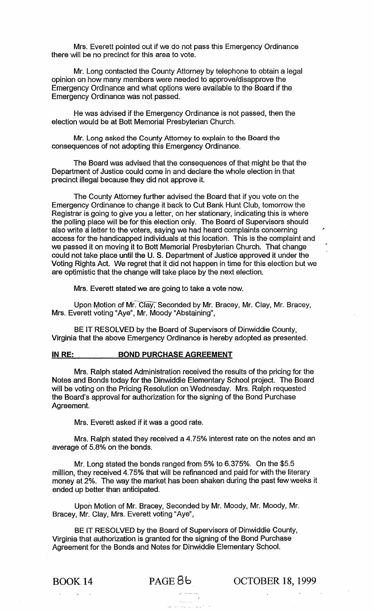Mrs. Everett pointed out if we do not pass this Emergency Ordinance there will be no precinct for this area to vote.

Mr. Long contacted the County Attorney by telephone to obtain a legal opinion on how many members were needed to approve/disapprove the Emergency Ordinance and what options were available to the Board if the Emergency Ordinance was not passed.

He was advised if the Emergency Ordinance is not passed, then the election would be at Bott Memorial Presbyterian Church.

Mr. Long asked the County Attorney to explain to the Board the consequences of not adopting this Emergency Ordinance.

The Board was advised that the consequences of that might be that the Department of Justice could come in and declare the whole election in that precinct illegal because they did not approve it.

The County Attorney further advised the Board that if you vote on the Emergency Ordinance to change it back to Cut Bank Hunt Club, tomorrow the Registrar is going to give you a letter, on her stationary, indicating this is where the polling place will be for this election only. The Board of Supervisors should also write a letter to the voters, saying we had heard complaints concerning access for the handicapped individuals at this location. This is the complaint and we passed it on moving it to Bott Memorial Presbyterian Church. That change could not take place until the U. S. Department of Justice approved it under the Voting Rights Act. We regret that it did not happen in time for this election but we are optimistic that the change will take place by the next election.

Mrs. Everett stated we are going to take a vote now.

Upon Motion of Mr. Clay, Seconded by Mr. Bracey, Mr. Clay, Mr. Bracey. Mrs. Everett voting "Aye", Mr. Moody "Abstaining",

BE IT RESOLVED by the Board of Supervisors of Dinwiddie County, Virginia that the above Emergency Ordinance is hereby adopted as presented.

#### IN RE: BOND PURCHASE AGREEMENT

Mrs. Ralph stated Administration received the results of the pricing for the Notes and Bonds today for the Dinwiddie Elementary School project. The Board will be voting on the Pricing Resolution on Wednesday. Mrs. Ralph requested the Board's approval for authorization for the signing of the Bond Purchase Agreement.

Mrs. Everett asked if it was a good rate.

Mrs. Ralph stated they received a 4.75% interest rate on the notes and an average of 5.8% on the bonds.

Mr. Long stated the bonds ranged from 5% to 6.375%. On the \$5.5 million, they received 4.75% that will be refinanced and paid for with the literary money at 2%. The way the market has been shaken during the past few weeks it ended up better than anticipated.

Upon Motion of Mr. Bracey, Seconded by Mr. Moody, Mr. Moody. Mr. Bracey, Mr. Clay, Mrs. Everett voting "Aye",

BE IT RESOLVED by the Board of Supervisors of Dinwiddie County, Virginia that authorization is granted for the signing of the Bond Purchase Agreement for the Bonds and Notes for Dinwiddie Elementary School.

BOOK 14 PAGE 8b OCTOBER 18, 1999

/'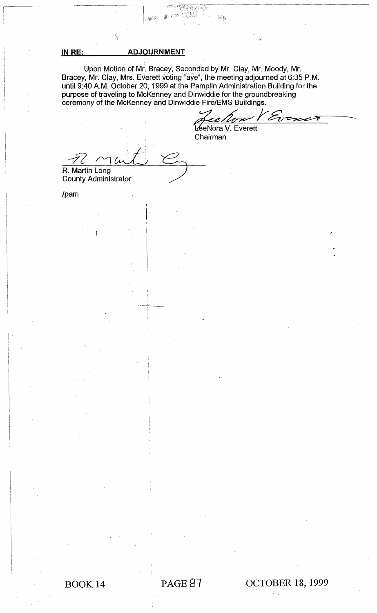## **IN RE: ADJOURNMENT**

i.

Upon Motion of Mr. Bracey, Seconded by Mr. Clay, Mr. Moody, Mr. Bracey, Mr. Clay, Mrs. Everett voting "aye", the meeting adjourned at 6:35 P.M. until 9:40 A.M. October 20, 1999 at the Pamplin Administration Building for the purpose of traveling to McKenney and Dinwiddie for the groundbreaking ceremony of the McKenney and Dinwiddie Fire/EMS Buildings.

sur

 $\mathcal{G}^{(i)}_{\mathcal{G},\mathcal{P}}$ 

់សង់ឆ្នាំ

議定

增済

Jee *Perne V Ev*<br>Lee Nora V. Everett

Chairman

R. Martin Long

County Administrator

/pam